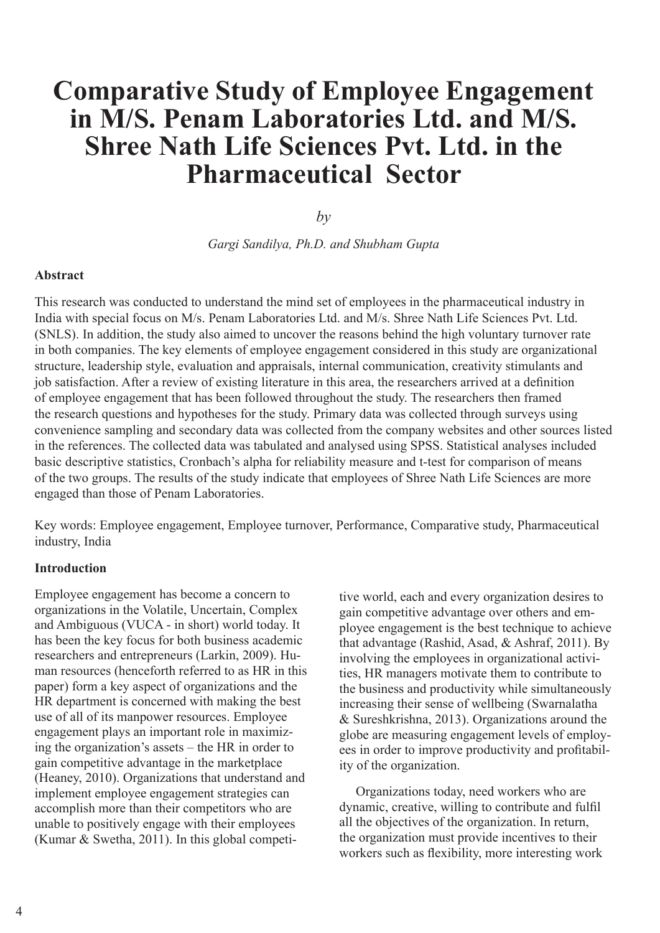# **Comparative Study of Employee Engagement in M/S. Penam Laboratories Ltd. and M/S. Shree Nath Life Sciences Pvt. Ltd. in the Pharmaceutical Sector**

*by*

*Gargi Sandilya, Ph.D. and Shubham Gupta* 

### **Abstract**

This research was conducted to understand the mind set of employees in the pharmaceutical industry in India with special focus on M/s. Penam Laboratories Ltd. and M/s. Shree Nath Life Sciences Pvt. Ltd. (SNLS). In addition, the study also aimed to uncover the reasons behind the high voluntary turnover rate in both companies. The key elements of employee engagement considered in this study are organizational structure, leadership style, evaluation and appraisals, internal communication, creativity stimulants and job satisfaction. After a review of existing literature in this area, the researchers arrived at a definition of employee engagement that has been followed throughout the study. The researchers then framed the research questions and hypotheses for the study. Primary data was collected through surveys using convenience sampling and secondary data was collected from the company websites and other sources listed in the references. The collected data was tabulated and analysed using SPSS. Statistical analyses included basic descriptive statistics, Cronbach's alpha for reliability measure and t-test for comparison of means of the two groups. The results of the study indicate that employees of Shree Nath Life Sciences are more engaged than those of Penam Laboratories.

Key words: Employee engagement, Employee turnover, Performance, Comparative study, Pharmaceutical industry, India

### **Introduction**

Employee engagement has become a concern to organizations in the Volatile, Uncertain, Complex and Ambiguous (VUCA - in short) world today. It has been the key focus for both business academic researchers and entrepreneurs (Larkin, 2009). Human resources (henceforth referred to as HR in this paper) form a key aspect of organizations and the HR department is concerned with making the best use of all of its manpower resources. Employee engagement plays an important role in maximizing the organization's assets – the HR in order to gain competitive advantage in the marketplace (Heaney, 2010). Organizations that understand and implement employee engagement strategies can accomplish more than their competitors who are unable to positively engage with their employees (Kumar & Swetha, 2011). In this global competi-

tive world, each and every organization desires to gain competitive advantage over others and employee engagement is the best technique to achieve that advantage (Rashid, Asad, & Ashraf, 2011). By involving the employees in organizational activities, HR managers motivate them to contribute to the business and productivity while simultaneously increasing their sense of wellbeing (Swarnalatha & Sureshkrishna, 2013). Organizations around the globe are measuring engagement levels of employees in order to improve productivity and profitability of the organization.

 Organizations today, need workers who are dynamic, creative, willing to contribute and fulfil all the objectives of the organization. In return, the organization must provide incentives to their workers such as flexibility, more interesting work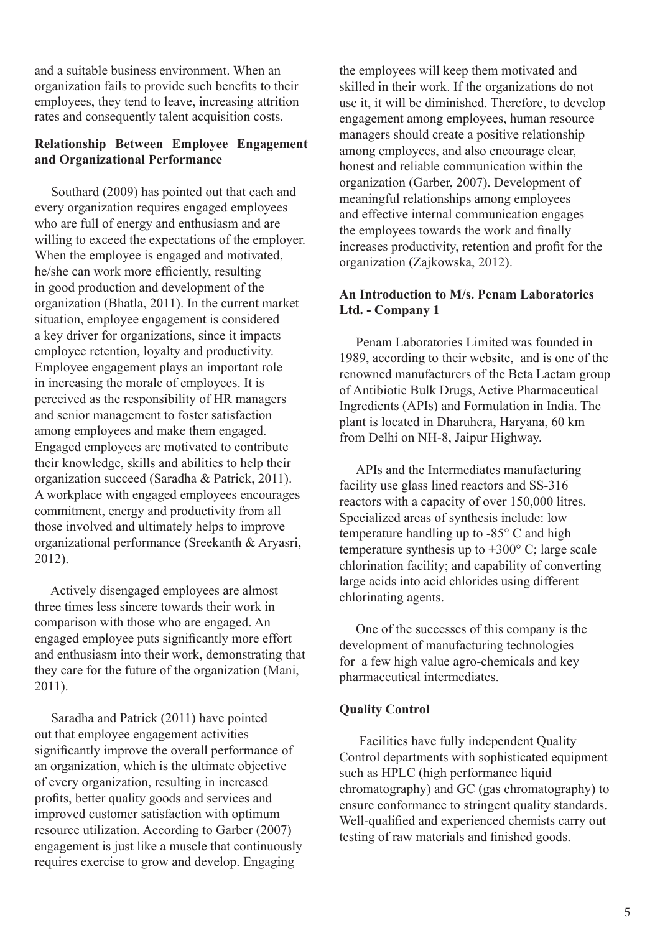and a suitable business environment. When an organization fails to provide such benefits to their employees, they tend to leave, increasing attrition rates and consequently talent acquisition costs.

### **Relationship Between Employee Engagement and Organizational Performance**

 Southard (2009) has pointed out that each and every organization requires engaged employees who are full of energy and enthusiasm and are willing to exceed the expectations of the employer. When the employee is engaged and motivated, he/she can work more efficiently, resulting in good production and development of the organization (Bhatla, 2011). In the current market situation, employee engagement is considered a key driver for organizations, since it impacts employee retention, loyalty and productivity. Employee engagement plays an important role in increasing the morale of employees. It is perceived as the responsibility of HR managers and senior management to foster satisfaction among employees and make them engaged. Engaged employees are motivated to contribute their knowledge, skills and abilities to help their organization succeed (Saradha & Patrick, 2011). A workplace with engaged employees encourages commitment, energy and productivity from all those involved and ultimately helps to improve organizational performance (Sreekanth & Aryasri, 2012).

 Actively disengaged employees are almost three times less sincere towards their work in comparison with those who are engaged. An engaged employee puts significantly more effort and enthusiasm into their work, demonstrating that they care for the future of the organization (Mani, 2011).

 Saradha and Patrick (2011) have pointed out that employee engagement activities significantly improve the overall performance of an organization, which is the ultimate objective of every organization, resulting in increased profits, better quality goods and services and improved customer satisfaction with optimum resource utilization. According to Garber (2007) engagement is just like a muscle that continuously requires exercise to grow and develop. Engaging

the employees will keep them motivated and skilled in their work. If the organizations do not use it, it will be diminished. Therefore, to develop engagement among employees, human resource managers should create a positive relationship among employees, and also encourage clear, honest and reliable communication within the organization (Garber, 2007). Development of meaningful relationships among employees and effective internal communication engages the employees towards the work and finally increases productivity, retention and profit for the organization (Zajkowska, 2012).

### **An Introduction to M/s. Penam Laboratories Ltd. - Company 1**

 Penam Laboratories Limited was founded in 1989, according to their website, and is one of the renowned manufacturers of the Beta Lactam group of Antibiotic Bulk Drugs, Active Pharmaceutical Ingredients (APIs) and Formulation in India. The plant is located in Dharuhera, Haryana, 60 km from Delhi on NH-8, Jaipur Highway.

APIs and the Intermediates manufacturing facility use glass lined reactors and SS-316 reactors with a capacity of over 150,000 litres. Specialized areas of synthesis include: low temperature handling up to -85° C and high temperature synthesis up to  $+300^{\circ}$  C; large scale chlorination facility; and capability of converting large acids into acid chlorides using different chlorinating agents.

 One of the successes of this company is the development of manufacturing technologies for a few high value agro-chemicals and key pharmaceutical intermediates.

### **Quality Control**

 Facilities have fully independent Quality Control departments with sophisticated equipment such as HPLC (high performance liquid chromatography) and GC (gas chromatography) to ensure conformance to stringent quality standards. Well-qualified and experienced chemists carry out testing of raw materials and finished goods.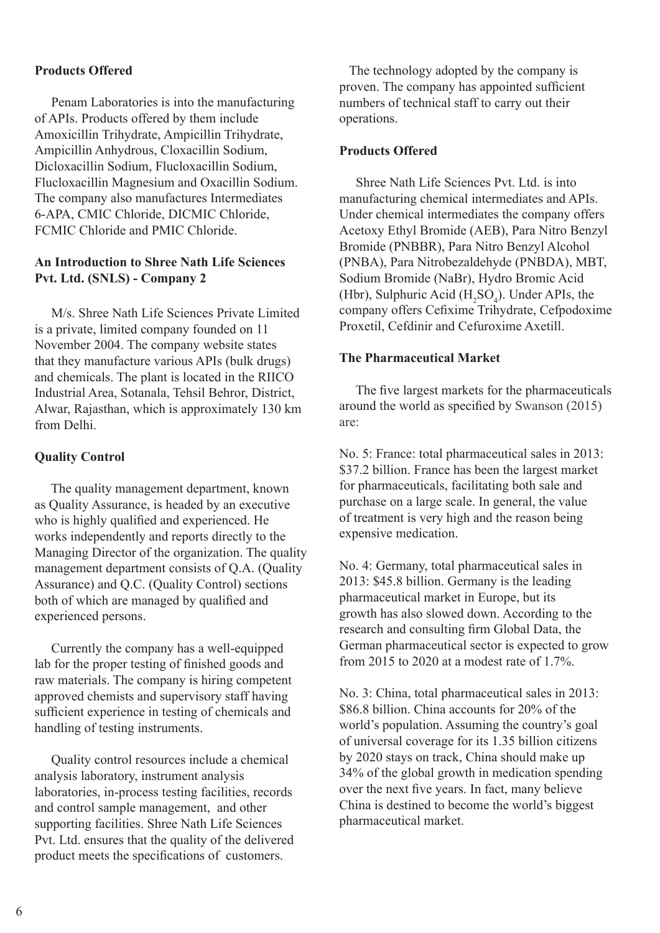### **Products Offered**

 Penam Laboratories is into the manufacturing of APIs. Products offered by them include Amoxicillin Trihydrate, Ampicillin Trihydrate, Ampicillin Anhydrous, Cloxacillin Sodium, Dicloxacillin Sodium, Flucloxacillin Sodium, Flucloxacillin Magnesium and Oxacillin Sodium. The company also manufactures Intermediates 6-APA, CMIC Chloride, DICMIC Chloride, FCMIC Chloride and PMIC Chloride.

### **An Introduction to Shree Nath Life Sciences Pvt. Ltd. (SNLS) - Company 2**

 M/s. Shree Nath Life Sciences Private Limited is a private, limited company founded on 11 November 2004. The company website states that they manufacture various APIs (bulk drugs) and chemicals. The plant is located in the RIICO Industrial Area, Sotanala, Tehsil Behror, District, Alwar, Rajasthan, which is approximately 130 km from Delhi.

### **Quality Control**

 The quality management department, known as Quality Assurance, is headed by an executive who is highly qualified and experienced. He works independently and reports directly to the Managing Director of the organization. The quality management department consists of Q.A. (Quality Assurance) and Q.C. (Quality Control) sections both of which are managed by qualified and experienced persons.

 Currently the company has a well-equipped lab for the proper testing of finished goods and raw materials. The company is hiring competent approved chemists and supervisory staff having sufficient experience in testing of chemicals and handling of testing instruments.

 Quality control resources include a chemical analysis laboratory, instrument analysis laboratories, in-process testing facilities, records and control sample management, and other supporting facilities. Shree Nath Life Sciences Pvt. Ltd. ensures that the quality of the delivered product meets the specifications of customers.

 The technology adopted by the company is proven. The company has appointed sufficient numbers of technical staff to carry out their operations.

### **Products Offered**

 Shree Nath Life Sciences Pvt. Ltd. is into manufacturing chemical intermediates and APIs. Under chemical intermediates the company offers Acetoxy Ethyl Bromide (AEB), Para Nitro Benzyl Bromide (PNBBR), Para Nitro Benzyl Alcohol (PNBA), Para Nitrobezaldehyde (PNBDA), MBT, Sodium Bromide (NaBr), Hydro Bromic Acid (Hbr), Sulphuric Acid ( $H_2SO_4$ ). Under APIs, the company offers Cefixime Trihydrate, Cefpodoxime Proxetil, Cefdinir and Cefuroxime Axetill.

### **The Pharmaceutical Market**

 The five largest markets for the pharmaceuticals around the world as specified by Swanson (2015) are:

No. 5: France: total pharmaceutical sales in 2013: \$37.2 billion. France has been the largest market for pharmaceuticals, facilitating both sale and purchase on a large scale. In general, the value of treatment is very high and the reason being expensive medication.

No. 4: Germany, total pharmaceutical sales in 2013: \$45.8 billion. Germany is the leading pharmaceutical market in Europe, but its growth has also slowed down. According to the research and consulting firm Global Data, the German pharmaceutical sector is expected to grow from 2015 to 2020 at a modest rate of 1.7%.

No. 3: China, total pharmaceutical sales in 2013: \$86.8 billion. China accounts for 20% of the world's population. Assuming the country's goal of universal coverage for its 1.35 billion citizens by 2020 stays on track, China should make up 34% of the global growth in medication spending over the next five years. In fact, many believe China is destined to become the world's biggest pharmaceutical market.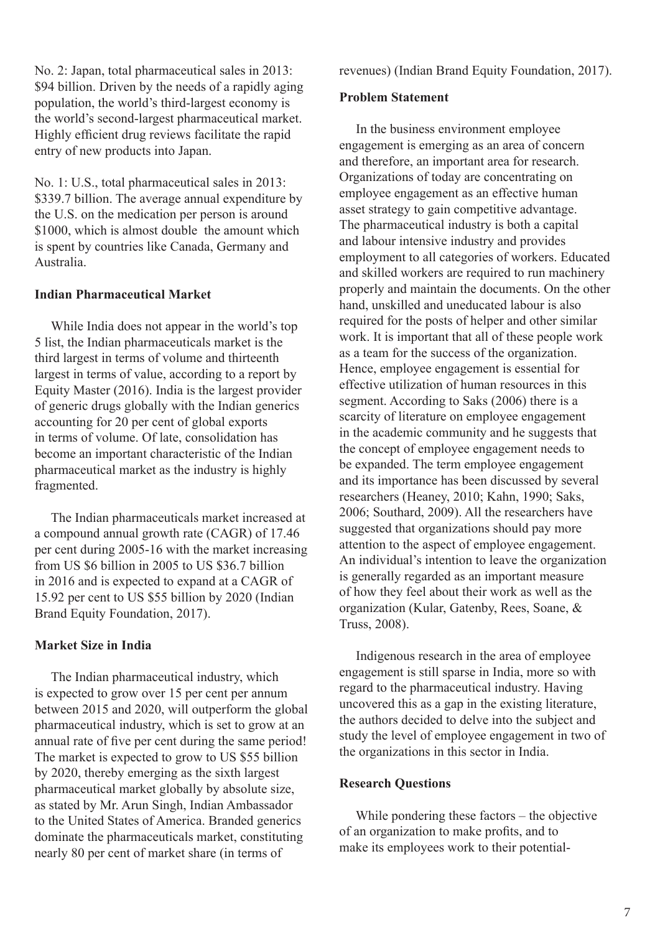No. 2: Japan, total pharmaceutical sales in 2013: \$94 billion. Driven by the needs of a rapidly aging population, the world's third-largest economy is the world's second-largest pharmaceutical market. Highly efficient drug reviews facilitate the rapid entry of new products into Japan.

No. 1: U.S., total pharmaceutical sales in 2013: \$339.7 billion. The average annual expenditure by the U.S. on the medication per person is around \$1000, which is almost double the amount which is spent by countries like Canada, Germany and Australia.

### **Indian Pharmaceutical Market**

 While India does not appear in the world's top 5 list, the Indian pharmaceuticals market is the third largest in terms of volume and thirteenth largest in terms of value, according to a report by Equity Master (2016). India is the largest provider of generic drugs globally with the Indian generics accounting for 20 per cent of global exports in terms of volume. Of late, consolidation has become an important characteristic of the Indian pharmaceutical market as the industry is highly fragmented.

 The Indian pharmaceuticals market increased at a compound annual growth rate (CAGR) of 17.46 per cent during 2005-16 with the market increasing from US \$6 billion in 2005 to US \$36.7 billion in 2016 and is expected to expand at a CAGR of 15.92 per cent to US \$55 billion by 2020 (Indian Brand Equity Foundation, 2017).

### **Market Size in India**

 The Indian pharmaceutical industry, which is expected to grow over 15 per cent per annum between 2015 and 2020, will outperform the global pharmaceutical industry, which is set to grow at an annual rate of five per cent during the same period! The market is expected to grow to US \$55 billion by 2020, thereby emerging as the sixth largest pharmaceutical market globally by absolute size, as stated by Mr. Arun Singh, Indian Ambassador to the United States of America. Branded generics dominate the pharmaceuticals market, constituting nearly 80 per cent of market share (in terms of

revenues) (Indian Brand Equity Foundation, 2017).

#### **Problem Statement**

 In the business environment employee engagement is emerging as an area of concern and therefore, an important area for research. Organizations of today are concentrating on employee engagement as an effective human asset strategy to gain competitive advantage. The pharmaceutical industry is both a capital and labour intensive industry and provides employment to all categories of workers. Educated and skilled workers are required to run machinery properly and maintain the documents. On the other hand, unskilled and uneducated labour is also required for the posts of helper and other similar work. It is important that all of these people work as a team for the success of the organization. Hence, employee engagement is essential for effective utilization of human resources in this segment. According to Saks (2006) there is a scarcity of literature on employee engagement in the academic community and he suggests that the concept of employee engagement needs to be expanded. The term employee engagement and its importance has been discussed by several researchers (Heaney, 2010; Kahn, 1990; Saks, 2006; Southard, 2009). All the researchers have suggested that organizations should pay more attention to the aspect of employee engagement. An individual's intention to leave the organization is generally regarded as an important measure of how they feel about their work as well as the organization (Kular, Gatenby, Rees, Soane, & Truss, 2008).

 Indigenous research in the area of employee engagement is still sparse in India, more so with regard to the pharmaceutical industry. Having uncovered this as a gap in the existing literature, the authors decided to delve into the subject and study the level of employee engagement in two of the organizations in this sector in India.

### **Research Questions**

 While pondering these factors – the objective of an organization to make profits, and to make its employees work to their potential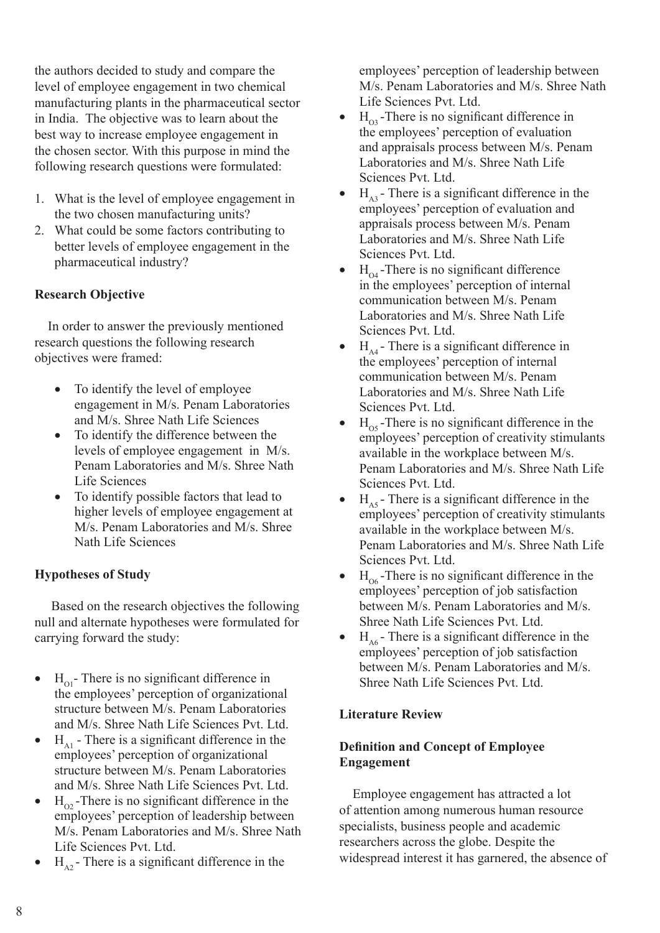the authors decided to study and compare the level of employee engagement in two chemical manufacturing plants in the pharmaceutical sector in India. The objective was to learn about the best way to increase employee engagement in the chosen sector. With this purpose in mind the following research questions were formulated:

- 1. What is the level of employee engagement in the two chosen manufacturing units?
- 2. What could be some factors contributing to better levels of employee engagement in the pharmaceutical industry?

### **Research Objective**

 In order to answer the previously mentioned research questions the following research objectives were framed:

- To identify the level of employee engagement in M/s. Penam Laboratories and M/s. Shree Nath Life Sciences
- To identify the difference between the levels of employee engagement in M/s. Penam Laboratories and M/s. Shree Nath Life Sciences
- To identify possible factors that lead to higher levels of employee engagement at M/s. Penam Laboratories and M/s. Shree Nath Life Sciences

### **Hypotheses of Study**

 Based on the research objectives the following null and alternate hypotheses were formulated for carrying forward the study:

- $H_{01}$  There is no significant difference in the employees' perception of organizational structure between M/s. Penam Laboratories and M/s. Shree Nath Life Sciences Pvt. Ltd.
- $H<sub>A1</sub>$  There is a significant difference in the employees' perception of organizational structure between M/s. Penam Laboratories and M/s. Shree Nath Life Sciences Pvt. Ltd.
- $H_{\text{O2}}$ -There is no significant difference in the employees' perception of leadership between M/s. Penam Laboratories and M/s. Shree Nath Life Sciences Pvt. Ltd.
- $H_{A2}$  There is a significant difference in the

employees' perception of leadership between M/s. Penam Laboratories and M/s. Shree Nath Life Sciences Pvt. Ltd.

- $H_{\infty}$ -There is no significant difference in the employees' perception of evaluation and appraisals process between M/s. Penam Laboratories and M/s. Shree Nath Life Sciences Pvt. Ltd.
- $H_{\lambda3}$  There is a significant difference in the employees' perception of evaluation and appraisals process between M/s. Penam Laboratories and M/s. Shree Nath Life Sciences Pvt. Ltd.
- $H_{04}$ -There is no significant difference in the employees' perception of internal communication between M/s. Penam Laboratories and M/s. Shree Nath Life Sciences Pvt. Ltd.
- $H<sub>AA</sub>$  There is a significant difference in the employees' perception of internal communication between M/s. Penam Laboratories and M/s. Shree Nath Life Sciences Pvt. Ltd.
- $H_{05}$ -There is no significant difference in the employees' perception of creativity stimulants available in the workplace between M/s. Penam Laboratories and M/s. Shree Nath Life Sciences Pvt. Ltd.
- $H<sub>AS</sub>$  There is a significant difference in the employees' perception of creativity stimulants available in the workplace between M/s. Penam Laboratories and M/s. Shree Nath Life Sciences Pvt. Ltd.
- $H_{\alpha}$ -There is no significant difference in the employees' perception of job satisfaction between M/s. Penam Laboratories and M/s. Shree Nath Life Sciences Pvt. Ltd.
- $H_{\text{A6}}$  There is a significant difference in the employees' perception of job satisfaction between M/s. Penam Laboratories and M/s. Shree Nath Life Sciences Pvt. Ltd.

### **Literature Review**

### **Definition and Concept of Employee Engagement**

 Employee engagement has attracted a lot of attention among numerous human resource specialists, business people and academic researchers across the globe. Despite the widespread interest it has garnered, the absence of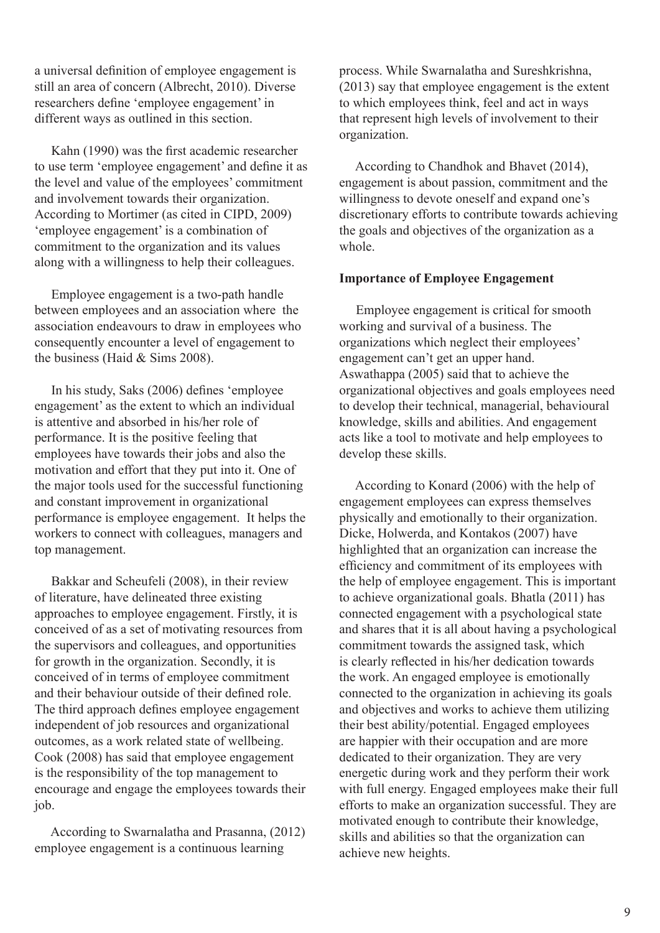a universal definition of employee engagement is still an area of concern (Albrecht, 2010). Diverse researchers define 'employee engagement' in different ways as outlined in this section.

 Kahn (1990) was the first academic researcher to use term 'employee engagement' and define it as the level and value of the employees' commitment and involvement towards their organization. According to Mortimer (as cited in CIPD, 2009) 'employee engagement' is a combination of commitment to the organization and its values along with a willingness to help their colleagues.

 Employee engagement is a two-path handle between employees and an association where the association endeavours to draw in employees who consequently encounter a level of engagement to the business (Haid & Sims 2008).

 In his study, Saks (2006) defines 'employee engagement' as the extent to which an individual is attentive and absorbed in his/her role of performance. It is the positive feeling that employees have towards their jobs and also the motivation and effort that they put into it. One of the major tools used for the successful functioning and constant improvement in organizational performance is employee engagement. It helps the workers to connect with colleagues, managers and top management.

 Bakkar and Scheufeli (2008), in their review of literature, have delineated three existing approaches to employee engagement. Firstly, it is conceived of as a set of motivating resources from the supervisors and colleagues, and opportunities for growth in the organization. Secondly, it is conceived of in terms of employee commitment and their behaviour outside of their defined role. The third approach defines employee engagement independent of job resources and organizational outcomes, as a work related state of wellbeing. Cook (2008) has said that employee engagement is the responsibility of the top management to encourage and engage the employees towards their job.

 According to Swarnalatha and Prasanna, (2012) employee engagement is a continuous learning

process. While Swarnalatha and Sureshkrishna, (2013) say that employee engagement is the extent to which employees think, feel and act in ways that represent high levels of involvement to their organization.

 According to Chandhok and Bhavet (2014), engagement is about passion, commitment and the willingness to devote oneself and expand one's discretionary efforts to contribute towards achieving the goals and objectives of the organization as a whole.

#### **Importance of Employee Engagement**

 Employee engagement is critical for smooth working and survival of a business. The organizations which neglect their employees' engagement can't get an upper hand. Aswathappa (2005) said that to achieve the organizational objectives and goals employees need to develop their technical, managerial, behavioural knowledge, skills and abilities. And engagement acts like a tool to motivate and help employees to develop these skills.

 According to Konard (2006) with the help of engagement employees can express themselves physically and emotionally to their organization. Dicke, Holwerda, and Kontakos (2007) have highlighted that an organization can increase the efficiency and commitment of its employees with the help of employee engagement. This is important to achieve organizational goals. Bhatla (2011) has connected engagement with a psychological state and shares that it is all about having a psychological commitment towards the assigned task, which is clearly reflected in his/her dedication towards the work. An engaged employee is emotionally connected to the organization in achieving its goals and objectives and works to achieve them utilizing their best ability/potential. Engaged employees are happier with their occupation and are more dedicated to their organization. They are very energetic during work and they perform their work with full energy. Engaged employees make their full efforts to make an organization successful. They are motivated enough to contribute their knowledge, skills and abilities so that the organization can achieve new heights.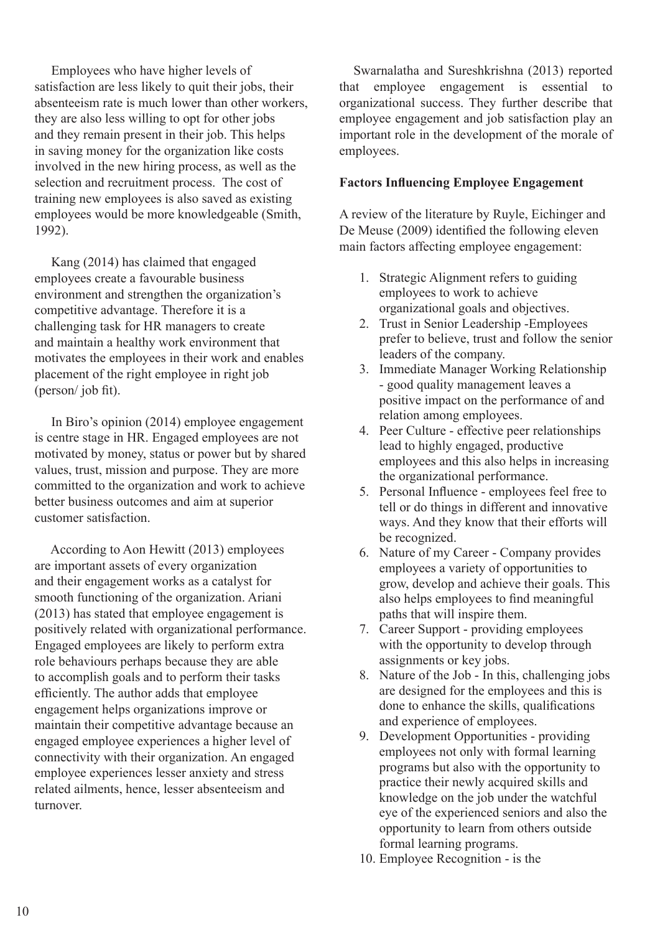Employees who have higher levels of satisfaction are less likely to quit their jobs, their absenteeism rate is much lower than other workers, they are also less willing to opt for other jobs and they remain present in their job. This helps in saving money for the organization like costs involved in the new hiring process, as well as the selection and recruitment process. The cost of training new employees is also saved as existing employees would be more knowledgeable (Smith, 1992).

 Kang (2014) has claimed that engaged employees create a favourable business environment and strengthen the organization's competitive advantage. Therefore it is a challenging task for HR managers to create and maintain a healthy work environment that motivates the employees in their work and enables placement of the right employee in right job (person/ job fit).

 In Biro's opinion (2014) employee engagement is centre stage in HR. Engaged employees are not motivated by money, status or power but by shared values, trust, mission and purpose. They are more committed to the organization and work to achieve better business outcomes and aim at superior customer satisfaction.

 According to Aon Hewitt (2013) employees are important assets of every organization and their engagement works as a catalyst for smooth functioning of the organization. Ariani (2013) has stated that employee engagement is positively related with organizational performance. Engaged employees are likely to perform extra role behaviours perhaps because they are able to accomplish goals and to perform their tasks efficiently. The author adds that employee engagement helps organizations improve or maintain their competitive advantage because an engaged employee experiences a higher level of connectivity with their organization. An engaged employee experiences lesser anxiety and stress related ailments, hence, lesser absenteeism and turnover.

 Swarnalatha and Sureshkrishna (2013) reported that employee engagement is essential to organizational success. They further describe that employee engagement and job satisfaction play an important role in the development of the morale of employees.

### **Factors Influencing Employee Engagement**

A review of the literature by Ruyle, Eichinger and De Meuse (2009) identified the following eleven main factors affecting employee engagement:

- 1. Strategic Alignment refers to guiding employees to work to achieve organizational goals and objectives.
- 2. Trust in Senior Leadership -Employees prefer to believe, trust and follow the senior leaders of the company.
- 3. Immediate Manager Working Relationship - good quality management leaves a positive impact on the performance of and relation among employees.
- 4. Peer Culture effective peer relationships lead to highly engaged, productive employees and this also helps in increasing the organizational performance.
- 5. Personal Influence employees feel free to tell or do things in different and innovative ways. And they know that their efforts will be recognized.
- 6. Nature of my Career Company provides employees a variety of opportunities to grow, develop and achieve their goals. This also helps employees to find meaningful paths that will inspire them.
- 7. Career Support providing employees with the opportunity to develop through assignments or key jobs.
- 8. Nature of the Job In this, challenging jobs are designed for the employees and this is done to enhance the skills, qualifications and experience of employees.
- 9. Development Opportunities providing employees not only with formal learning programs but also with the opportunity to practice their newly acquired skills and knowledge on the job under the watchful eye of the experienced seniors and also the opportunity to learn from others outside formal learning programs.
- 10. Employee Recognition is the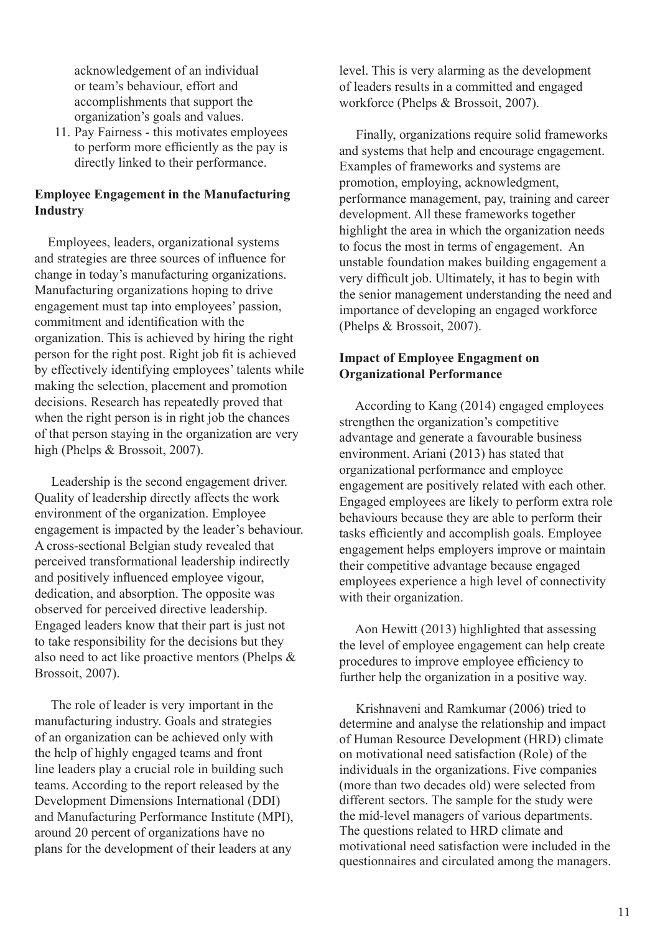acknowledgement of an individual or team's behaviour, effort and accomplishments that support the organization's goals and values.

11. Pay Fairness - this motivates employees to perform more efficiently as the pay is directly linked to their performance.

### **Employee Engagement in the Manufacturing Industry**

 Employees, leaders, organizational systems and strategies are three sources of influence for change in today's manufacturing organizations. Manufacturing organizations hoping to drive engagement must tap into employees' passion, commitment and identification with the organization. This is achieved by hiring the right person for the right post. Right job fit is achieved by effectively identifying employees' talents while making the selection, placement and promotion decisions. Research has repeatedly proved that when the right person is in right job the chances of that person staying in the organization are very high (Phelps & Brossoit, 2007).

 Leadership is the second engagement driver. Quality of leadership directly affects the work environment of the organization. Employee engagement is impacted by the leader's behaviour. A cross-sectional Belgian study revealed that perceived transformational leadership indirectly and positively influenced employee vigour, dedication, and absorption. The opposite was observed for perceived directive leadership. Engaged leaders know that their part is just not to take responsibility for the decisions but they also need to act like proactive mentors (Phelps & Brossoit, 2007).

 The role of leader is very important in the manufacturing industry. Goals and strategies of an organization can be achieved only with the help of highly engaged teams and front line leaders play a crucial role in building such teams. According to the report released by the Development Dimensions International (DDI) and Manufacturing Performance Institute (MPI), around 20 percent of organizations have no plans for the development of their leaders at any

level. This is very alarming as the development of leaders results in a committed and engaged workforce (Phelps & Brossoit, 2007).

 Finally, organizations require solid frameworks and systems that help and encourage engagement. Examples of frameworks and systems are promotion, employing, acknowledgment, performance management, pay, training and career development. All these frameworks together highlight the area in which the organization needs to focus the most in terms of engagement. An unstable foundation makes building engagement a very difficult job. Ultimately, it has to begin with the senior management understanding the need and importance of developing an engaged workforce (Phelps & Brossoit, 2007).

### **Impact of Employee Engagment on Organizational Performance**

 According to Kang (2014) engaged employees strengthen the organization's competitive advantage and generate a favourable business environment. Ariani (2013) has stated that organizational performance and employee engagement are positively related with each other. Engaged employees are likely to perform extra role behaviours because they are able to perform their tasks efficiently and accomplish goals. Employee engagement helps employers improve or maintain their competitive advantage because engaged employees experience a high level of connectivity with their organization.

 Aon Hewitt (2013) highlighted that assessing the level of employee engagement can help create procedures to improve employee efficiency to further help the organization in a positive way.

 Krishnaveni and Ramkumar (2006) tried to determine and analyse the relationship and impact of Human Resource Development (HRD) climate on motivational need satisfaction (Role) of the individuals in the organizations. Five companies (more than two decades old) were selected from different sectors. The sample for the study were the mid-level managers of various departments. The questions related to HRD climate and motivational need satisfaction were included in the questionnaires and circulated among the managers.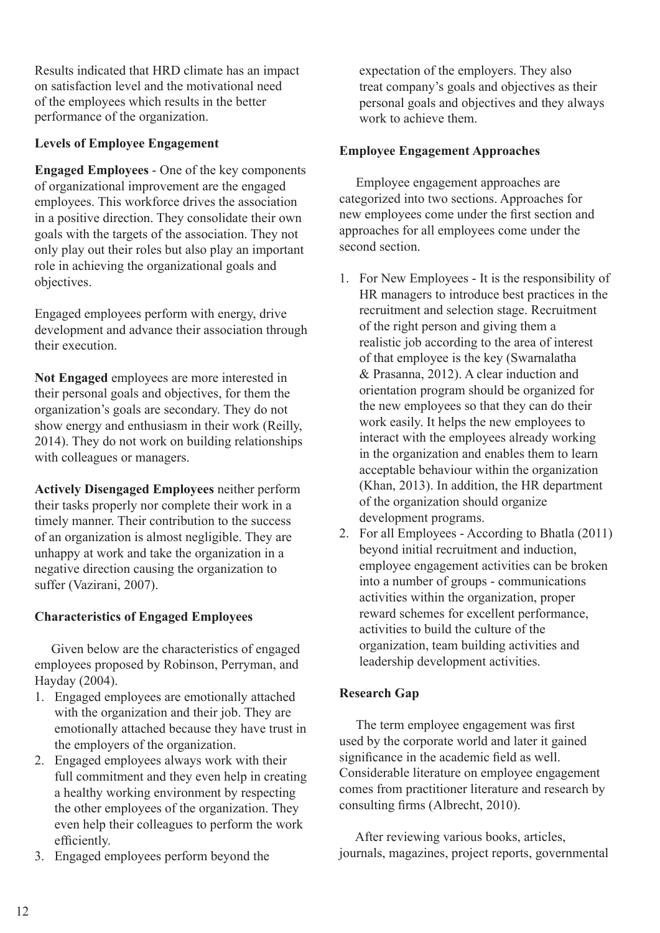Results indicated that HRD climate has an impact on satisfaction level and the motivational need of the employees which results in the better performance of the organization.

### **Levels of Employee Engagement**

**Engaged Employees** - One of the key components of organizational improvement are the engaged employees. This workforce drives the association in a positive direction. They consolidate their own goals with the targets of the association. They not only play out their roles but also play an important role in achieving the organizational goals and objectives.

Engaged employees perform with energy, drive development and advance their association through their execution.

**Not Engaged** employees are more interested in their personal goals and objectives, for them the organization's goals are secondary. They do not show energy and enthusiasm in their work (Reilly, 2014). They do not work on building relationships with colleagues or managers.

**Actively Disengaged Employees** neither perform their tasks properly nor complete their work in a timely manner. Their contribution to the success of an organization is almost negligible. They are unhappy at work and take the organization in a negative direction causing the organization to suffer (Vazirani, 2007).

### **Characteristics of Engaged Employees**

 Given below are the characteristics of engaged employees proposed by Robinson, Perryman, and Hayday (2004).

- 1. Engaged employees are emotionally attached with the organization and their job. They are emotionally attached because they have trust in the employers of the organization.
- 2. Engaged employees always work with their full commitment and they even help in creating a healthy working environment by respecting the other employees of the organization. They even help their colleagues to perform the work efficiently.
- 3. Engaged employees perform beyond the

expectation of the employers. They also treat company's goals and objectives as their personal goals and objectives and they always work to achieve them.

### **Employee Engagement Approaches**

 Employee engagement approaches are categorized into two sections. Approaches for new employees come under the first section and approaches for all employees come under the second section.

- 1. For New Employees It is the responsibility of HR managers to introduce best practices in the recruitment and selection stage. Recruitment of the right person and giving them a realistic job according to the area of interest of that employee is the key (Swarnalatha & Prasanna, 2012). A clear induction and orientation program should be organized for the new employees so that they can do their work easily. It helps the new employees to interact with the employees already working in the organization and enables them to learn acceptable behaviour within the organization (Khan, 2013). In addition, the HR department of the organization should organize development programs.
- 2. For all Employees According to Bhatla (2011) beyond initial recruitment and induction, employee engagement activities can be broken into a number of groups - communications activities within the organization, proper reward schemes for excellent performance, activities to build the culture of the organization, team building activities and leadership development activities.

### **Research Gap**

The term employee engagement was first used by the corporate world and later it gained significance in the academic field as well. Considerable literature on employee engagement comes from practitioner literature and research by consulting firms (Albrecht, 2010).

 After reviewing various books, articles, journals, magazines, project reports, governmental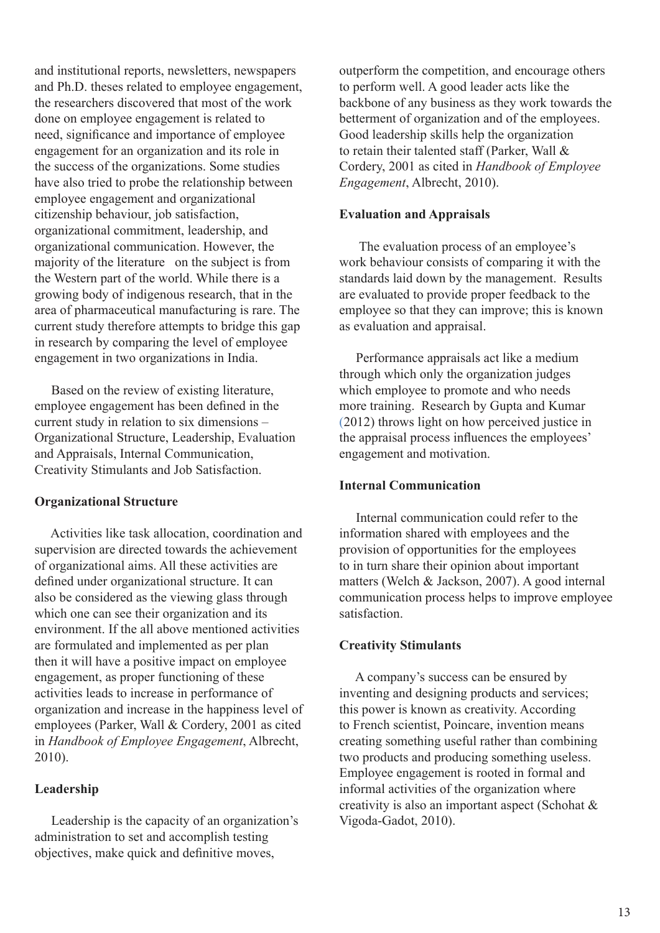and institutional reports, newsletters, newspapers and Ph.D. theses related to employee engagement, the researchers discovered that most of the work done on employee engagement is related to need, significance and importance of employee engagement for an organization and its role in the success of the organizations. Some studies have also tried to probe the relationship between employee engagement and organizational citizenship behaviour, job satisfaction, organizational commitment, leadership, and organizational communication. However, the majority of the literature on the subject is from the Western part of the world. While there is a growing body of indigenous research, that in the area of pharmaceutical manufacturing is rare. The current study therefore attempts to bridge this gap in research by comparing the level of employee engagement in two organizations in India.

 Based on the review of existing literature, employee engagement has been defined in the current study in relation to six dimensions – Organizational Structure, Leadership, Evaluation and Appraisals, Internal Communication, Creativity Stimulants and Job Satisfaction.

### **Organizational Structure**

 Activities like task allocation, coordination and supervision are directed towards the achievement of organizational aims. All these activities are defined under organizational structure. It can also be considered as the viewing glass through which one can see their organization and its environment. If the all above mentioned activities are formulated and implemented as per plan then it will have a positive impact on employee engagement, as proper functioning of these activities leads to increase in performance of organization and increase in the happiness level of employees (Parker, Wall & Cordery, 2001 as cited in *Handbook of Employee Engagement*, Albrecht, 2010).

### **Leadership**

 Leadership is the capacity of an organization's administration to set and accomplish testing objectives, make quick and definitive moves,

outperform the competition, and encourage others to perform well. A good leader acts like the backbone of any business as they work towards the betterment of organization and of the employees. Good leadership skills help the organization to retain their talented staff (Parker, Wall & Cordery, 2001 as cited in *Handbook of Employee Engagement*, Albrecht, 2010).

#### **Evaluation and Appraisals**

 The evaluation process of an employee's work behaviour consists of comparing it with the standards laid down by the management. Results are evaluated to provide proper feedback to the employee so that they can improve; this is known as evaluation and appraisal.

 Performance appraisals act like a medium through which only the organization judges which employee to promote and who needs more training. Research by Gupta and Kumar (2012) throws light on how perceived justice in the appraisal process influences the employees' engagement and motivation.

#### **Internal Communication**

 Internal communication could refer to the information shared with employees and the provision of opportunities for the employees to in turn share their opinion about important matters (Welch & Jackson, 2007). A good internal communication process helps to improve employee satisfaction.

#### **Creativity Stimulants**

 A company's success can be ensured by inventing and designing products and services; this power is known as creativity. According to French scientist, Poincare, invention means creating something useful rather than combining two products and producing something useless. Employee engagement is rooted in formal and informal activities of the organization where creativity is also an important aspect (Schohat & Vigoda-Gadot, 2010).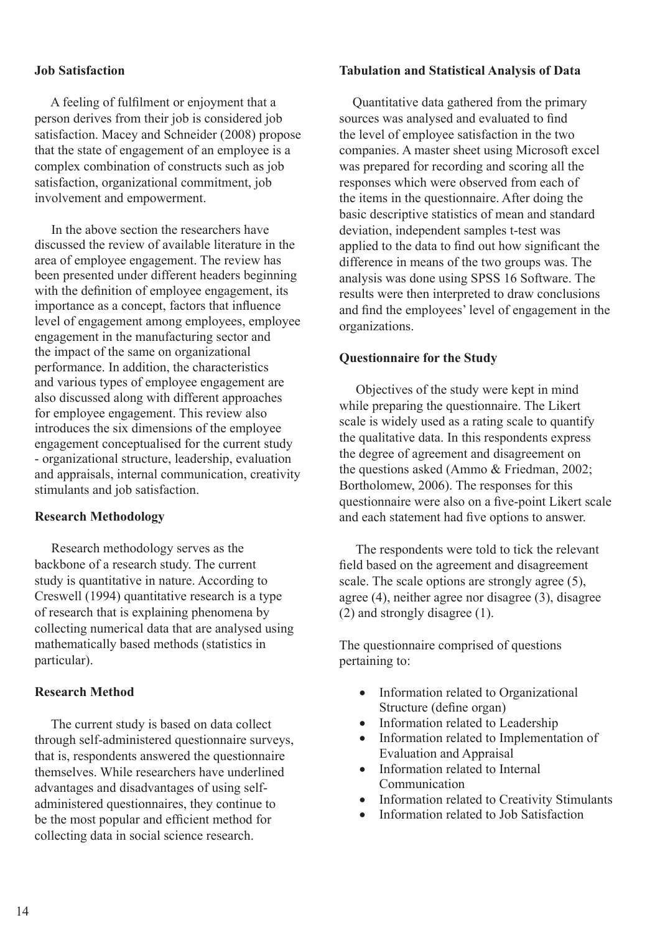### **Job Satisfaction**

 A feeling of fulfilment or enjoyment that a person derives from their job is considered job satisfaction. Macey and Schneider (2008) propose that the state of engagement of an employee is a complex combination of constructs such as job satisfaction, organizational commitment, job involvement and empowerment.

 In the above section the researchers have discussed the review of available literature in the area of employee engagement. The review has been presented under different headers beginning with the definition of employee engagement, its importance as a concept, factors that influence level of engagement among employees, employee engagement in the manufacturing sector and the impact of the same on organizational performance. In addition, the characteristics and various types of employee engagement are also discussed along with different approaches for employee engagement. This review also introduces the six dimensions of the employee engagement conceptualised for the current study - organizational structure, leadership, evaluation and appraisals, internal communication, creativity stimulants and job satisfaction.

### **Research Methodology**

 Research methodology serves as the backbone of a research study. The current study is quantitative in nature. According to Creswell (1994) quantitative research is a type of research that is explaining phenomena by collecting numerical data that are analysed using mathematically based methods (statistics in particular).

### **Research Method**

 The current study is based on data collect through self-administered questionnaire surveys, that is, respondents answered the questionnaire themselves. While researchers have underlined advantages and disadvantages of using selfadministered questionnaires, they continue to be the most popular and efficient method for collecting data in social science research.

### **Tabulation and Statistical Analysis of Data**

 Quantitative data gathered from the primary sources was analysed and evaluated to find the level of employee satisfaction in the two companies. A master sheet using Microsoft excel was prepared for recording and scoring all the responses which were observed from each of the items in the questionnaire. After doing the basic descriptive statistics of mean and standard deviation, independent samples t-test was applied to the data to find out how significant the difference in means of the two groups was. The analysis was done using SPSS 16 Software. The results were then interpreted to draw conclusions and find the employees' level of engagement in the organizations.

### **Questionnaire for the Study**

 Objectives of the study were kept in mind while preparing the questionnaire. The Likert scale is widely used as a rating scale to quantify the qualitative data. In this respondents express the degree of agreement and disagreement on the questions asked (Ammo & Friedman, 2002; Bortholomew, 2006). The responses for this questionnaire were also on a five-point Likert scale and each statement had five options to answer.

 The respondents were told to tick the relevant field based on the agreement and disagreement scale. The scale options are strongly agree (5), agree (4), neither agree nor disagree (3), disagree (2) and strongly disagree (1).

The questionnaire comprised of questions pertaining to:

- Information related to Organizational Structure (define organ)
- Information related to Leadership
- Information related to Implementation of Evaluation and Appraisal
- Information related to Internal Communication
- Information related to Creativity Stimulants
- Information related to Job Satisfaction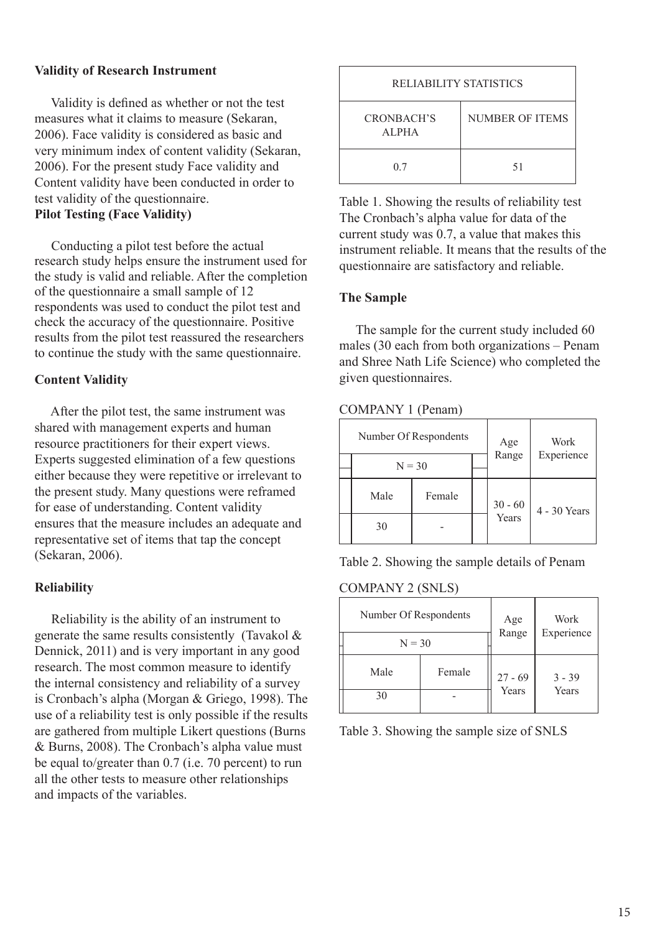### **Validity of Research Instrument**

 Validity is defined as whether or not the test measures what it claims to measure (Sekaran, 2006). Face validity is considered as basic and very minimum index of content validity (Sekaran, 2006). For the present study Face validity and Content validity have been conducted in order to test validity of the questionnaire. **Pilot Testing (Face Validity)**

 Conducting a pilot test before the actual research study helps ensure the instrument used for the study is valid and reliable. After the completion of the questionnaire a small sample of 12 respondents was used to conduct the pilot test and check the accuracy of the questionnaire. Positive results from the pilot test reassured the researchers to continue the study with the same questionnaire.

### **Content Validity**

 After the pilot test, the same instrument was shared with management experts and human resource practitioners for their expert views. Experts suggested elimination of a few questions either because they were repetitive or irrelevant to the present study. Many questions were reframed for ease of understanding. Content validity ensures that the measure includes an adequate and representative set of items that tap the concept (Sekaran, 2006).

### **Reliability**

 Reliability is the ability of an instrument to generate the same results consistently (Tavakol & Dennick, 2011) and is very important in any good research. The most common measure to identify the internal consistency and reliability of a survey is Cronbach's alpha (Morgan & Griego, 1998). The use of a reliability test is only possible if the results are gathered from multiple Likert questions (Burns & Burns, 2008). The Cronbach's alpha value must be equal to/greater than 0.7 (i.e. 70 percent) to run all the other tests to measure other relationships and impacts of the variables.

| RELIABILITY STATISTICS     |                 |  |  |  |  |
|----------------------------|-----------------|--|--|--|--|
| CRONBACH'S<br><b>ALPHA</b> | NUMBER OF ITEMS |  |  |  |  |
| 0.7                        | 51              |  |  |  |  |

Table 1. Showing the results of reliability test The Cronbach's alpha value for data of the current study was 0.7, a value that makes this instrument reliable. It means that the results of the questionnaire are satisfactory and reliable.

### **The Sample**

 The sample for the current study included 60 males (30 each from both organizations – Penam and Shree Nath Life Science) who completed the given questionnaires.

### COMPANY 1 (Penam)

|          | Number Of Respondents | Age | Work             |              |
|----------|-----------------------|-----|------------------|--------------|
| $N = 30$ |                       |     | Range            | Experience   |
| Male     | Female                |     | 30 - 60<br>Years | 4 - 30 Years |
| 30       |                       |     |                  |              |

Table 2. Showing the sample details of Penam

### COMPANY 2 (SNLS)

| Number Of Respondents | Age<br>Range | Work               |          |
|-----------------------|--------------|--------------------|----------|
| $N = 30$              |              | Experience         |          |
| Male                  | Female       | $27 - 69$<br>Years | $3 - 39$ |
| 30                    |              |                    | Years    |

Table 3. Showing the sample size of SNLS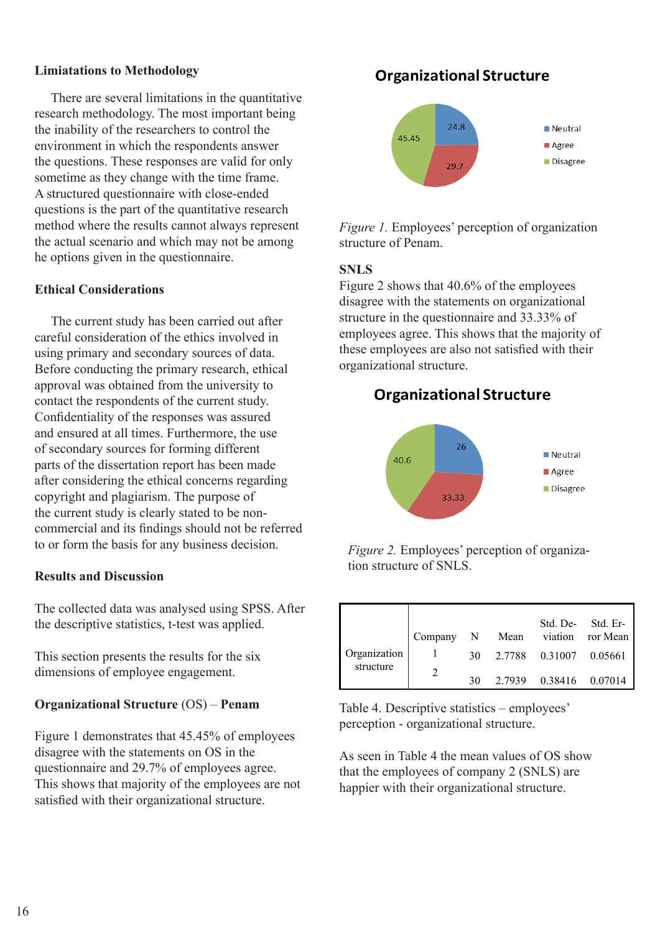### **Limiatations to Methodology**

 There are several limitations in the quantitative research methodology. The most important being the inability of the researchers to control the environment in which the respondents answer the questions. These responses are valid for only sometime as they change with the time frame. A structured questionnaire with close-ended questions is the part of the quantitative research method where the results cannot always represent the actual scenario and which may not be among he options given in the questionnaire.

### **Ethical Considerations**

 The current study has been carried out after careful consideration of the ethics involved in using primary and secondary sources of data. Before conducting the primary research, ethical approval was obtained from the university to contact the respondents of the current study. Confidentiality of the responses was assured and ensured at all times. Furthermore, the use of secondary sources for forming different parts of the dissertation report has been made after considering the ethical concerns regarding copyright and plagiarism. The purpose of the current study is clearly stated to be noncommercial and its findings should not be referred to or form the basis for any business decision.

### **Results and Discussion**

The collected data was analysed using SPSS. After the descriptive statistics, t-test was applied.

This section presents the results for the six dimensions of employee engagement.

### **Organizational Structure** (OS) – **Penam**

Figure 1 demonstrates that 45.45% of employees disagree with the statements on OS in the questionnaire and 29.7% of employees agree. This shows that majority of the employees are not satisfied with their organizational structure.

### **Organizational Structure**



*Figure 1.* Employees' perception of organization structure of Penam.

### **SNLS**

Figure 2 shows that 40.6% of the employees disagree with the statements on organizational structure in the questionnaire and 33.33% of employees agree. This shows that the majority of these employees are also not satisfied with their organizational structure.

### **Organizational Structure**



*Figure 2.* Employees' perception of organization structure of SNLS.

|                           |  |  | Std. De-Std. Er-                |
|---------------------------|--|--|---------------------------------|
|                           |  |  | Company N Mean viation ror Mean |
| Organization<br>structure |  |  | 30 2.7788 0.31007 0.05661       |
|                           |  |  | $2.7939$ $0.38416$ $0.07014$    |

Table 4. Descriptive statistics – employees' perception - organizational structure.

As seen in Table 4 the mean values of OS show that the employees of company 2 (SNLS) are happier with their organizational structure.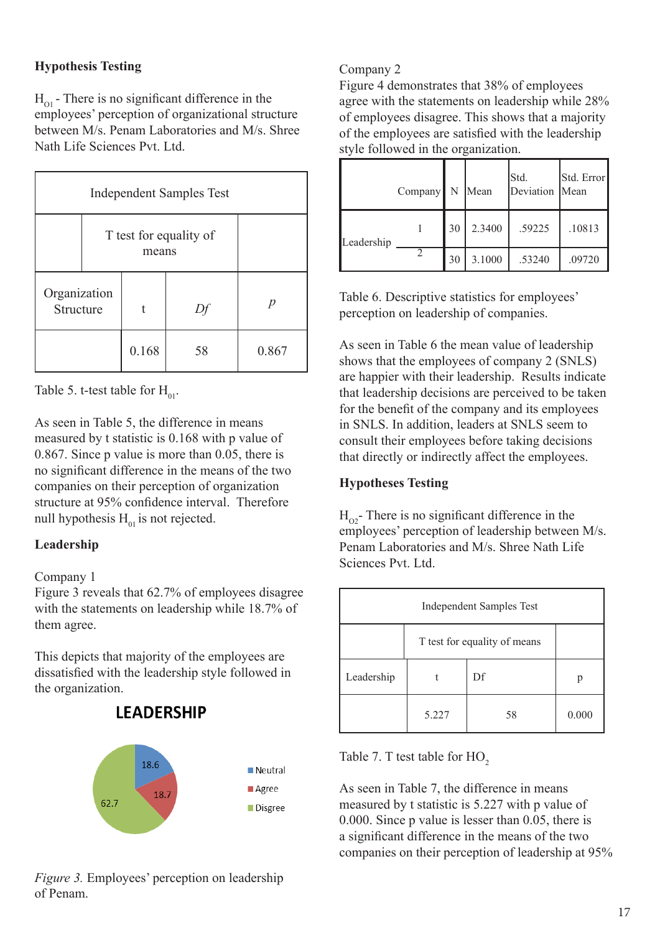### **Hypothesis Testing**

 $H_{\text{O1}}$  - There is no significant difference in the employees' perception of organizational structure between M/s. Penam Laboratories and M/s. Shree Nath Life Sciences Pvt. Ltd.

| <b>Independent Samples Test</b> |                                 |       |    |       |  |
|---------------------------------|---------------------------------|-------|----|-------|--|
|                                 | T test for equality of<br>means |       |    |       |  |
| Organization<br>Structure       |                                 | t     |    | p     |  |
|                                 |                                 | 0.168 | 58 | 0.867 |  |

Table 5. t-test table for  $H_{01}$ .

As seen in Table 5, the difference in means measured by t statistic is 0.168 with p value of 0.867. Since p value is more than 0.05, there is no significant difference in the means of the two companies on their perception of organization structure at 95% confidence interval. Therefore null hypothesis  $H_{01}$  is not rejected.

### **Leadership**

### Company 1

Figure 3 reveals that 62.7% of employees disagree with the statements on leadership while 18.7% of them agree.

This depicts that majority of the employees are dissatisfied with the leadership style followed in the organization.



### **LEADERSHIP**

### Company 2

Figure 4 demonstrates that 38% of employees agree with the statements on leadership while 28% of employees disagree. This shows that a majority of the employees are satisfied with the leadership style followed in the organization.

|            | Company | N  | Mean   | Std.<br>Deviation Mean | Std. Error |
|------------|---------|----|--------|------------------------|------------|
| Leadership |         | 30 | 2.3400 | .59225                 | .10813     |
|            |         | 30 | 3.1000 | .53240                 | .09720     |

Table 6. Descriptive statistics for employees' perception on leadership of companies.

As seen in Table 6 the mean value of leadership shows that the employees of company 2 (SNLS) are happier with their leadership. Results indicate that leadership decisions are perceived to be taken for the benefit of the company and its employees in SNLS. In addition, leaders at SNLS seem to consult their employees before taking decisions that directly or indirectly affect the employees.

### **Hypotheses Testing**

 $H_{02}$ - There is no significant difference in the employees' perception of leadership between M/s. Penam Laboratories and M/s. Shree Nath Life Sciences Pvt. Ltd.

| <b>Independent Samples Test</b> |                              |    |       |  |  |
|---------------------------------|------------------------------|----|-------|--|--|
|                                 | T test for equality of means |    |       |  |  |
| Leadership                      |                              | Df | р     |  |  |
|                                 | 5.227                        | 58 | 0.000 |  |  |

Table 7. T test table for HO<sub>2</sub>

As seen in Table 7, the difference in means measured by t statistic is 5.227 with p value of 0.000. Since p value is lesser than 0.05, there is a significant difference in the means of the two companies on their perception of leadership at 95%

*Figure 3.* Employees' perception on leadership of Penam.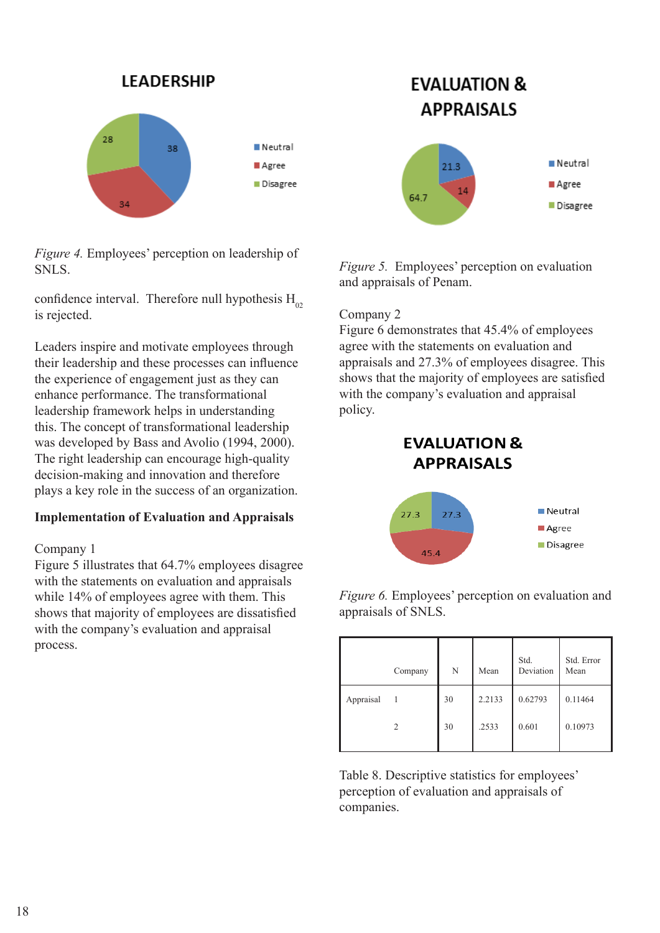

*Figure 4.* Employees' perception on leadership of SNLS.

confidence interval. Therefore null hypothesis  $H_{02}$ is rejected.

Leaders inspire and motivate employees through their leadership and these processes can influence the experience of engagement just as they can enhance performance. The transformational leadership framework helps in understanding this. The concept of transformational leadership was developed by Bass and Avolio (1994, 2000). The right leadership can encourage high-quality decision-making and innovation and therefore plays a key role in the success of an organization.

### **Implementation of Evaluation and Appraisals**

### Company 1

Figure 5 illustrates that 64.7% employees disagree with the statements on evaluation and appraisals while 14% of employees agree with them. This shows that majority of employees are dissatisfied with the company's evaluation and appraisal process.

# **EVALUATION & APPRAISALS**



*Figure 5.* Employees' perception on evaluation and appraisals of Penam.

### Company 2

Figure 6 demonstrates that 45.4% of employees agree with the statements on evaluation and appraisals and 27.3% of employees disagree. This shows that the majority of employees are satisfied with the company's evaluation and appraisal policy.





*Figure 6.* Employees' perception on evaluation and appraisals of SNLS.

|           | Company | N  | Mean   | Std.<br>Deviation | Std. Error<br>Mean |
|-----------|---------|----|--------|-------------------|--------------------|
| Appraisal |         | 30 | 2.2133 | 0.62793           | 0.11464            |
|           | 2       | 30 | .2533  | 0.601             | 0.10973            |
|           |         |    |        |                   |                    |

Table 8. Descriptive statistics for employees' perception of evaluation and appraisals of companies.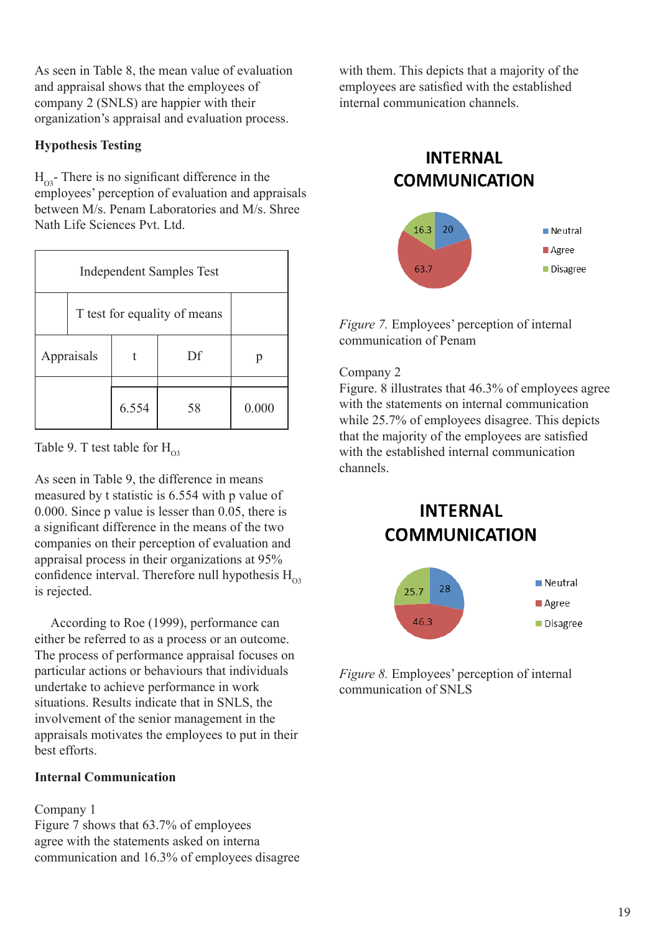As seen in Table 8, the mean value of evaluation and appraisal shows that the employees of company 2 (SNLS) are happier with their organization's appraisal and evaluation process.

### **Hypothesis Testing**

 $H_{\alpha3}$ - There is no significant difference in the employees' perception of evaluation and appraisals between M/s. Penam Laboratories and M/s. Shree Nath Life Sciences Pvt. Ltd.

| <b>Independent Samples Test</b> |  |       |    |       |  |  |
|---------------------------------|--|-------|----|-------|--|--|
| T test for equality of means    |  |       |    |       |  |  |
| Appraisals                      |  |       | Df |       |  |  |
|                                 |  | 6.554 | 58 | 0.000 |  |  |

Table 9. T test table for  $H_{03}$ 

As seen in Table 9, the difference in means measured by t statistic is 6.554 with p value of 0.000. Since p value is lesser than 0.05, there is a significant difference in the means of the two companies on their perception of evaluation and appraisal process in their organizations at 95% confidence interval. Therefore null hypothesis  $H_{\infty}$ is rejected.

 According to Roe (1999), performance can either be referred to as a process or an outcome. The process of performance appraisal focuses on particular actions or behaviours that individuals undertake to achieve performance in work situations. Results indicate that in SNLS, the involvement of the senior management in the appraisals motivates the employees to put in their best efforts.

### **Internal Communication**

### Company 1

Figure 7 shows that 63.7% of employees agree with the statements asked on interna communication and 16.3% of employees disagree

with them. This depicts that a majority of the employees are satisfied with the established internal communication channels.

## **INTERNAL COMMUNICATION**



*Figure 7.* Employees' perception of internal communication of Penam

### Company 2

Figure. 8 illustrates that 46.3% of employees agree with the statements on internal communication while 25.7% of employees disagree. This depicts that the majority of the employees are satisfied with the established internal communication channels.

# **INTERNAL COMMUNICATION**



*Figure 8.* Employees' perception of internal communication of SNLS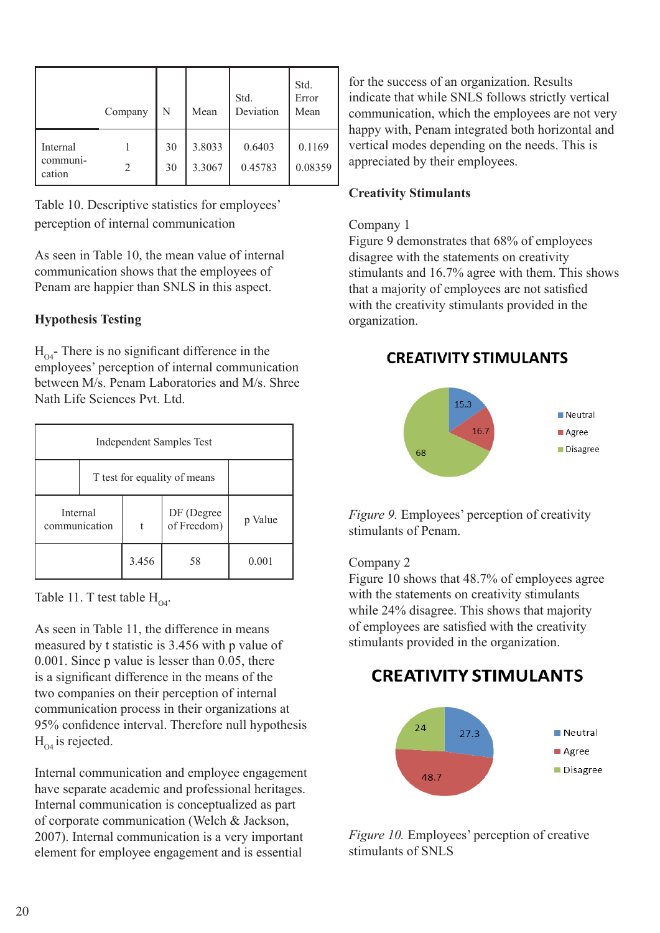|                                | Company | N        | Mean             | Std.<br>Deviation | Std.<br>Error<br>Mean |
|--------------------------------|---------|----------|------------------|-------------------|-----------------------|
| Internal<br>communi-<br>cation |         | 30<br>30 | 3.8033<br>3.3067 | 0.6403<br>0.45783 | 0.1169<br>0.08359     |

Table 10. Descriptive statistics for employees' perception of internal communication

As seen in Table 10, the mean value of internal communication shows that the employees of Penam are happier than SNLS in this aspect.

### **Hypothesis Testing**

 $H_{\alpha}$ - There is no significant difference in the employees' perception of internal communication between M/s. Penam Laboratories and M/s. Shree Nath Life Sciences Pvt. Ltd.

| Independent Samples Test     |  |       |                           |         |  |
|------------------------------|--|-------|---------------------------|---------|--|
| T test for equality of means |  |       |                           |         |  |
| Internal<br>communication    |  | t     | DF (Degree<br>of Freedom) | p Value |  |
|                              |  | 3.456 | 58                        | 0.001   |  |

Table 11. T test table  $H_{\alpha}$ .

As seen in Table 11, the difference in means measured by t statistic is 3.456 with p value of 0.001. Since p value is lesser than 0.05, there is a significant difference in the means of the two companies on their perception of internal communication process in their organizations at 95% confidence interval. Therefore null hypothesis  $H_{\alpha4}$  is rejected.

Internal communication and employee engagement have separate academic and professional heritages. Internal communication is conceptualized as part of corporate communication (Welch & Jackson, 2007). Internal communication is a very important element for employee engagement and is essential

for the success of an organization. Results indicate that while SNLS follows strictly vertical communication, which the employees are not very happy with, Penam integrated both horizontal and vertical modes depending on the needs. This is appreciated by their employees.

### **Creativity Stimulants**

### Company 1

Figure 9 demonstrates that 68% of employees disagree with the statements on creativity stimulants and 16.7% agree with them. This shows that a majority of employees are not satisfied with the creativity stimulants provided in the organization.

### **CREATIVITY STIMULANTS**



*Figure 9.* Employees' perception of creativity stimulants of Penam.

### Company 2

Figure 10 shows that 48.7% of employees agree with the statements on creativity stimulants while 24% disagree. This shows that majority of employees are satisfied with the creativity stimulants provided in the organization.

# **CREATIVITY STIMULANTS**



*Figure 10.* Employees' perception of creative stimulants of SNLS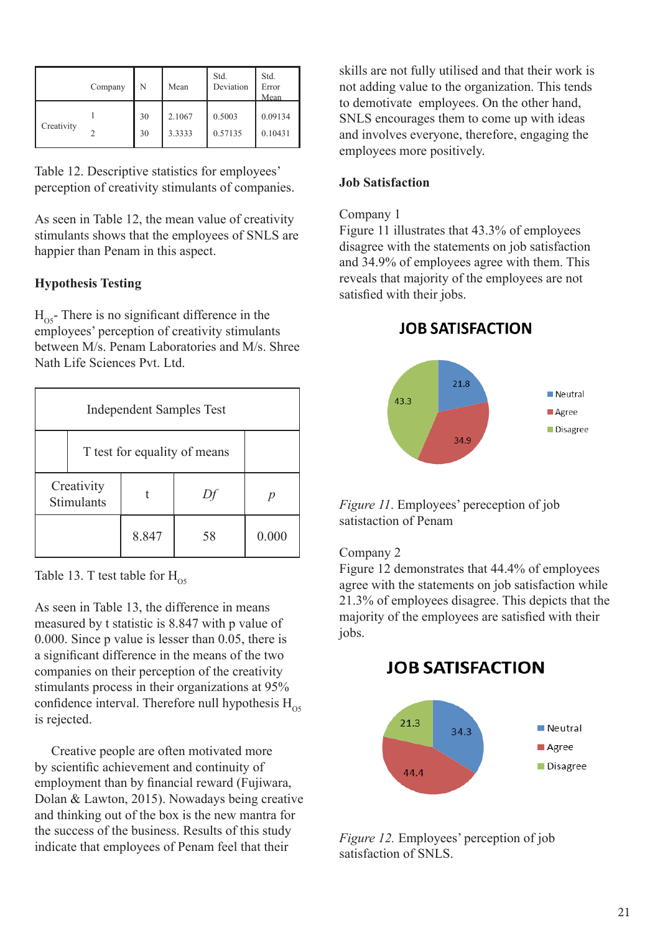|            | Company | N        | Mean             | Std.<br>Deviation | Std.<br>Error<br>Mean |
|------------|---------|----------|------------------|-------------------|-----------------------|
| Creativity |         | 30<br>30 | 2.1067<br>3.3333 | 0.5003<br>0.57135 | 0.09134<br>0.10431    |

Table 12. Descriptive statistics for employees' perception of creativity stimulants of companies.

As seen in Table 12, the mean value of creativity stimulants shows that the employees of SNLS are happier than Penam in this aspect.

### **Hypothesis Testing**

 $H_{05}$ - There is no significant difference in the employees' perception of creativity stimulants between M/s. Penam Laboratories and M/s. Shree Nath Life Sciences Pvt. Ltd.

| <b>Independent Samples Test</b> |                              |       |    |       |  |  |  |  |
|---------------------------------|------------------------------|-------|----|-------|--|--|--|--|
|                                 | T test for equality of means |       |    |       |  |  |  |  |
| Creativity<br>Stimulants        |                              |       |    |       |  |  |  |  |
|                                 |                              | 8.847 | 58 | 0.000 |  |  |  |  |

Table 13. T test table for  $H_{\alpha}$ 

As seen in Table 13, the difference in means measured by t statistic is 8.847 with p value of 0.000. Since p value is lesser than 0.05, there is a significant difference in the means of the two companies on their perception of the creativity stimulants process in their organizations at 95% confidence interval. Therefore null hypothesis  $H_{\text{OS}}$ is rejected.

 Creative people are often motivated more by scientific achievement and continuity of employment than by financial reward (Fujiwara, Dolan & Lawton, 2015). Nowadays being creative and thinking out of the box is the new mantra for the success of the business. Results of this study indicate that employees of Penam feel that their

skills are not fully utilised and that their work is not adding value to the organization. This tends to demotivate employees. On the other hand, SNLS encourages them to come up with ideas and involves everyone, therefore, engaging the employees more positively.

### **Job Satisfaction**

### Company 1

Figure 11 illustrates that 43.3% of employees disagree with the statements on job satisfaction and 34.9% of employees agree with them. This reveals that majority of the employees are not satisfied with their jobs.

**JOB SATISFACTION** 



*Figure 11*. Employees' pereception of job satistaction of Penam

### Company 2

Figure 12 demonstrates that 44.4% of employees agree with the statements on job satisfaction while 21.3% of employees disagree. This depicts that the majority of the employees are satisfied with their jobs.

### **JOB SATISFACTION**



*Figure 12.* Employees' perception of job satisfaction of SNLS.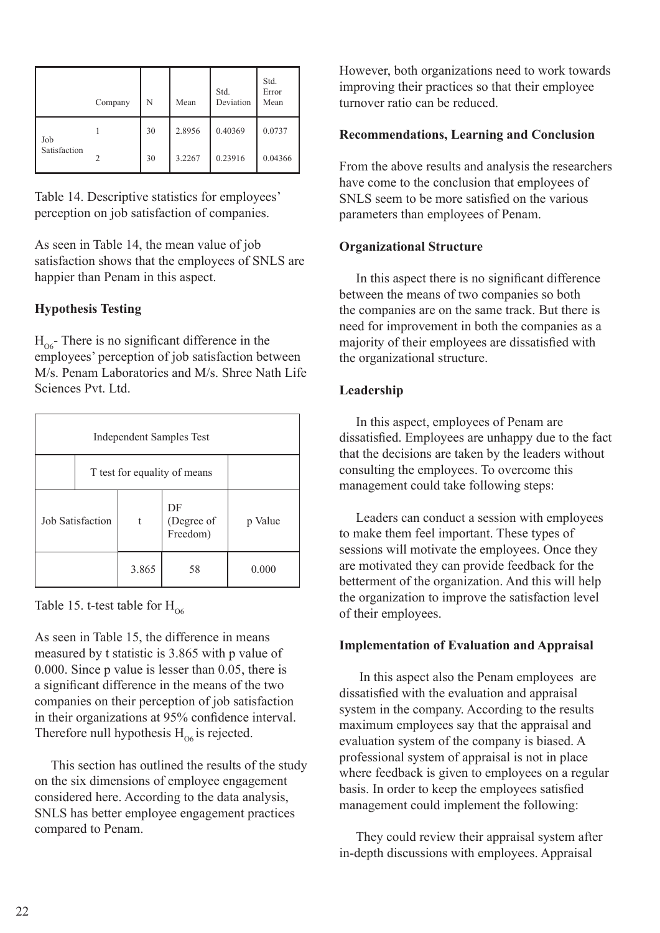|              | Company | N  | Mean   | Std.<br>Deviation | Std.<br>Error<br>Mean |
|--------------|---------|----|--------|-------------------|-----------------------|
| Job          |         | 30 | 2.8956 | 0.40369           | 0.0737                |
| Satisfaction |         | 30 | 3.2267 | 0.23916           | 0.04366               |

Table 14. Descriptive statistics for employees' perception on job satisfaction of companies.

As seen in Table 14, the mean value of job satisfaction shows that the employees of SNLS are happier than Penam in this aspect.

### **Hypothesis Testing**

 $H_{06}$ - There is no significant difference in the employees' perception of job satisfaction between M/s. Penam Laboratories and M/s. Shree Nath Life Sciences Pvt. Ltd.

| <b>Independent Samples Test</b> |                              |       |                              |         |  |  |  |  |
|---------------------------------|------------------------------|-------|------------------------------|---------|--|--|--|--|
|                                 | T test for equality of means |       |                              |         |  |  |  |  |
| <b>Job Satisfaction</b>         |                              | t     | DF<br>(Degree of<br>Freedom) | p Value |  |  |  |  |
|                                 |                              | 3.865 | 58                           | 0.000   |  |  |  |  |

Table 15. t-test table for  $H_{06}$ 

As seen in Table 15, the difference in means measured by t statistic is 3.865 with p value of 0.000. Since p value is lesser than 0.05, there is a significant difference in the means of the two companies on their perception of job satisfaction in their organizations at 95% confidence interval. Therefore null hypothesis  $H_{\alpha6}$  is rejected.

 This section has outlined the results of the study on the six dimensions of employee engagement considered here. According to the data analysis, SNLS has better employee engagement practices compared to Penam.

However, both organizations need to work towards improving their practices so that their employee turnover ratio can be reduced.

### **Recommendations, Learning and Conclusion**

From the above results and analysis the researchers have come to the conclusion that employees of SNLS seem to be more satisfied on the various parameters than employees of Penam.

### **Organizational Structure**

 In this aspect there is no significant difference between the means of two companies so both the companies are on the same track. But there is need for improvement in both the companies as a majority of their employees are dissatisfied with the organizational structure.

### **Leadership**

 In this aspect, employees of Penam are dissatisfied. Employees are unhappy due to the fact that the decisions are taken by the leaders without consulting the employees. To overcome this management could take following steps:

 Leaders can conduct a session with employees to make them feel important. These types of sessions will motivate the employees. Once they are motivated they can provide feedback for the betterment of the organization. And this will help the organization to improve the satisfaction level of their employees.

### **Implementation of Evaluation and Appraisal**

 In this aspect also the Penam employees are dissatisfied with the evaluation and appraisal system in the company. According to the results maximum employees say that the appraisal and evaluation system of the company is biased. A professional system of appraisal is not in place where feedback is given to employees on a regular basis. In order to keep the employees satisfied management could implement the following:

They could review their appraisal system after in-depth discussions with employees. Appraisal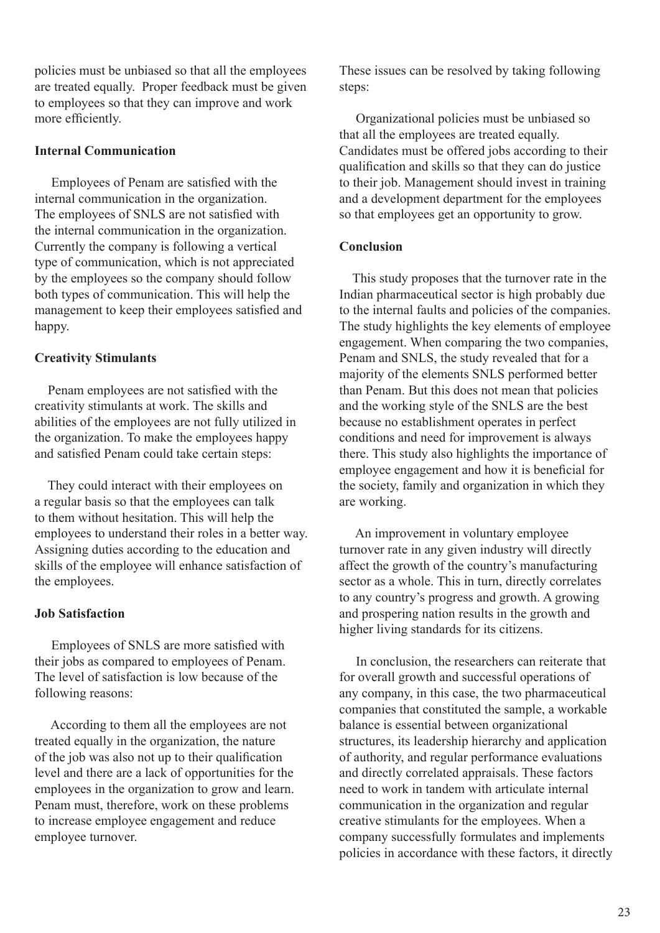policies must be unbiased so that all the employees are treated equally. Proper feedback must be given to employees so that they can improve and work more efficiently.

### **Internal Communication**

 Employees of Penam are satisfied with the internal communication in the organization. The employees of SNLS are not satisfied with the internal communication in the organization. Currently the company is following a vertical type of communication, which is not appreciated by the employees so the company should follow both types of communication. This will help the management to keep their employees satisfied and happy.

### **Creativity Stimulants**

 Penam employees are not satisfied with the creativity stimulants at work. The skills and abilities of the employees are not fully utilized in the organization. To make the employees happy and satisfied Penam could take certain steps:

 They could interact with their employees on a regular basis so that the employees can talk to them without hesitation. This will help the employees to understand their roles in a better way. Assigning duties according to the education and skills of the employee will enhance satisfaction of the employees.

### **Job Satisfaction**

 Employees of SNLS are more satisfied with their jobs as compared to employees of Penam. The level of satisfaction is low because of the following reasons:

 According to them all the employees are not treated equally in the organization, the nature of the job was also not up to their qualification level and there are a lack of opportunities for the employees in the organization to grow and learn. Penam must, therefore, work on these problems to increase employee engagement and reduce employee turnover.

These issues can be resolved by taking following steps:

 Organizational policies must be unbiased so that all the employees are treated equally. Candidates must be offered jobs according to their qualification and skills so that they can do justice to their job. Management should invest in training and a development department for the employees so that employees get an opportunity to grow.

### **Conclusion**

 This study proposes that the turnover rate in the Indian pharmaceutical sector is high probably due to the internal faults and policies of the companies. The study highlights the key elements of employee engagement. When comparing the two companies, Penam and SNLS, the study revealed that for a majority of the elements SNLS performed better than Penam. But this does not mean that policies and the working style of the SNLS are the best because no establishment operates in perfect conditions and need for improvement is always there. This study also highlights the importance of employee engagement and how it is beneficial for the society, family and organization in which they are working.

 An improvement in voluntary employee turnover rate in any given industry will directly affect the growth of the country's manufacturing sector as a whole. This in turn, directly correlates to any country's progress and growth. A growing and prospering nation results in the growth and higher living standards for its citizens.

 In conclusion, the researchers can reiterate that for overall growth and successful operations of any company, in this case, the two pharmaceutical companies that constituted the sample, a workable balance is essential between organizational structures, its leadership hierarchy and application of authority, and regular performance evaluations and directly correlated appraisals. These factors need to work in tandem with articulate internal communication in the organization and regular creative stimulants for the employees. When a company successfully formulates and implements policies in accordance with these factors, it directly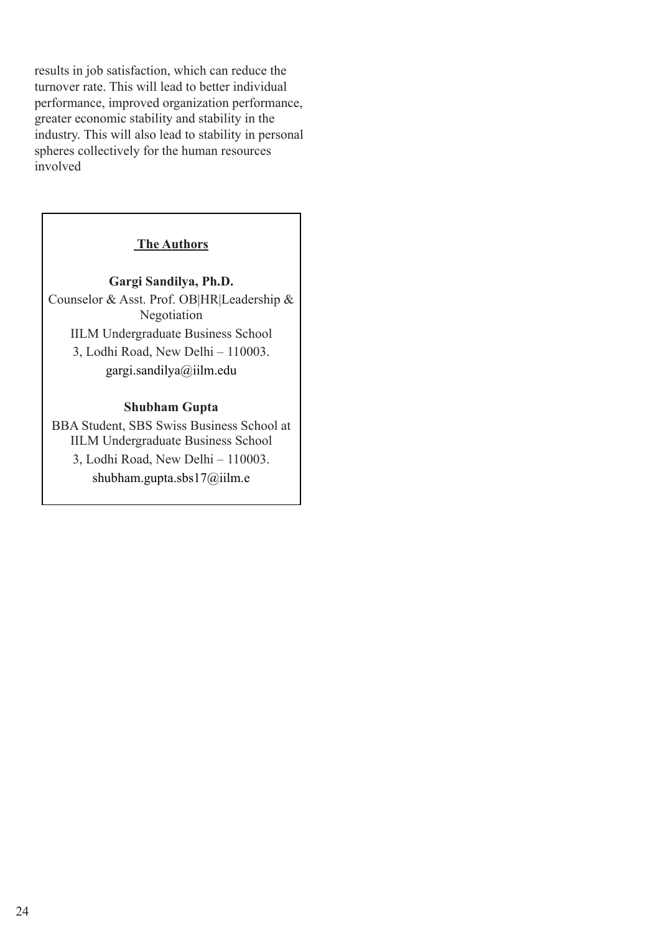results in job satisfaction, which can reduce the turnover rate. This will lead to better individual performance, improved organization performance, greater economic stability and stability in the industry. This will also lead to stability in personal spheres collectively for the human resources involved

### **The Authors**

### **Gargi Sandilya, Ph.D.** Counselor & Asst. Prof. OB|HR|Leadership & Negotiation IILM Undergraduate Business School 3, Lodhi Road, New Delhi – 110003.

gargi.sandilya@iilm.edu

### **Shubham Gupta**

BBA Student, SBS Swiss Business School at IILM Undergraduate Business School 3, Lodhi Road, New Delhi – 110003. shubham.gupta.sbs17@iilm.e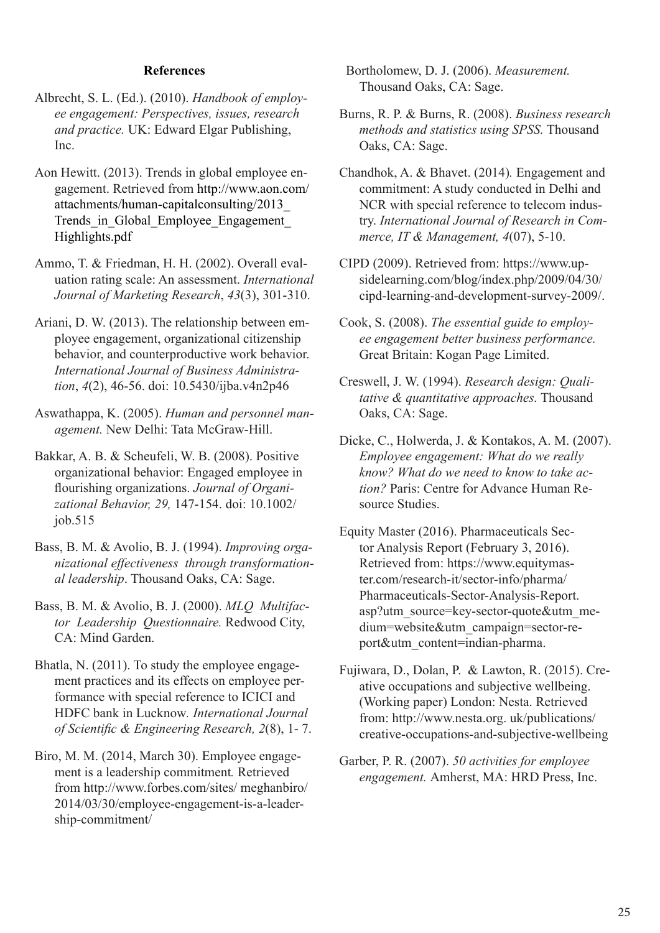### **References**

- Albrecht, S. L. (Ed.). (2010). *Handbook of employee engagement: Perspectives, issues, research and practice.* UK: Edward Elgar Publishing, Inc.
- Aon Hewitt. (2013). Trends in global employee engagement. Retrieved from http://www.aon.com/ attachments/human-capitalconsulting/2013\_ Trends\_in\_Global\_Employee\_Engagement Highlights.pdf
- Ammo, T. & Friedman, H. H. (2002). Overall evaluation rating scale: An assessment. *International Journal of Marketing Research*, *43*(3), 301-310.
- Ariani, D. W. (2013). The relationship between employee engagement, organizational citizenship behavior, and counterproductive work behavior. *International Journal of Business Administration*, *4*(2), 46-56. doi: 10.5430/ijba.v4n2p46
- Aswathappa, K. (2005). *Human and personnel management.* New Delhi: Tata McGraw-Hill.
- Bakkar, A. B. & Scheufeli, W. B. (2008). Positive organizational behavior: Engaged employee in flourishing organizations. *Journal of Organizational Behavior, 29,* 147-154. doi: 10.1002/ job.515
- Bass, B. M. & Avolio, B. J. (1994). *Improving organizational effectiveness through transformational leadership*. Thousand Oaks, CA: Sage.
- Bass, B. M. & Avolio, B. J. (2000). *MLQ Multifactor Leadership Questionnaire.* Redwood City, CA: Mind Garden.
- Bhatla, N. (2011). To study the employee engagement practices and its effects on employee performance with special reference to ICICI and HDFC bank in Lucknow*. International Journal of Scientific & Engineering Research, 2*(8), 1- 7.
- Biro, M. M. (2014, March 30). Employee engagement is a leadership commitment*.* Retrieved from http://www.forbes.com/sites/ meghanbiro/ 2014/03/30/employee-engagement-is-a-leadership-commitment/

 Bortholomew, D. J. (2006). *Measurement.*  Thousand Oaks, CA: Sage.

- Burns, R. P. & Burns, R. (2008). *Business research methods and statistics using SPSS.* Thousand Oaks, CA: Sage.
- Chandhok, A. & Bhavet. (2014)*.* Engagement and commitment: A study conducted in Delhi and NCR with special reference to telecom industry. *International Journal of Research in Commerce, IT & Management, 4*(07), 5-10.
- CIPD (2009). Retrieved from: https://www.upsidelearning.com/blog/index.php/2009/04/30/ cipd-learning-and-development-survey-2009/.
- Cook, S. (2008). *The essential guide to employee engagement better business performance.*  Great Britain: Kogan Page Limited.
- Creswell, J. W. (1994). *Research design: Qualitative & quantitative approaches.* Thousand Oaks, CA: Sage.
- Dicke, C., Holwerda, J. & Kontakos, A. M. (2007). *Employee engagement: What do we really know? What do we need to know to take action?* Paris: Centre for Advance Human Resource Studies.
- Equity Master (2016). Pharmaceuticals Sector Analysis Report (February 3, 2016). Retrieved from: https://www.equitymaster.com/research-it/sector-info/pharma/ Pharmaceuticals-Sector-Analysis-Report. asp?utm\_source=key-sector-quote&utm\_medium=website&utm\_campaign=sector-report&utm\_content=indian-pharma.
- Fujiwara, D., Dolan, P. & Lawton, R. (2015). Creative occupations and subjective wellbeing. (Working paper) London: Nesta. Retrieved from: http://www.nesta.org. uk/publications/ creative-occupations-and-subjective-wellbeing
- Garber, P. R. (2007). *50 activities for employee engagement.* Amherst, MA: HRD Press, Inc.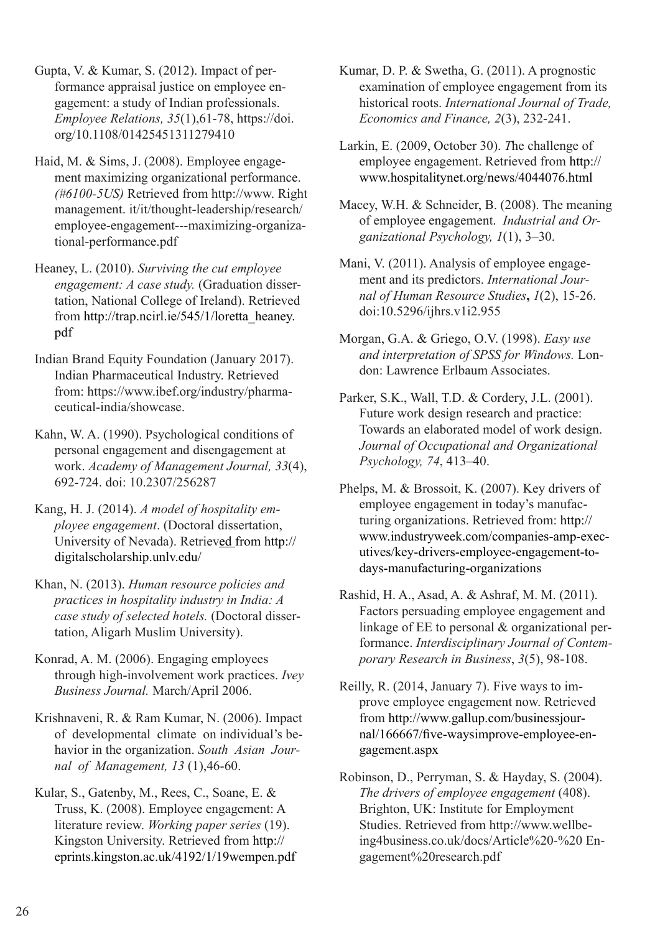Gupta, V. & Kumar, S. (2012). Impact of performance appraisal justice on employee engagement: a study of Indian professionals. *Employee Relations, 35*(1),61-78, https://doi. org/10.1108/01425451311279410

Haid, M. & Sims, J. (2008). Employee engagement maximizing organizational performance. *(#6100-5US)* Retrieved from http://www. Right management. it/it/thought-leadership/research/ employee-engagement---maximizing-organizational-performance.pdf

Heaney, L. (2010). *Surviving the cut employee engagement: A case study.* (Graduation dissertation, National College of Ireland). Retrieved from http://trap.ncirl.ie/545/1/loretta\_heaney. pdf

Indian Brand Equity Foundation (January 2017). Indian Pharmaceutical Industry. Retrieved from: https://www.ibef.org/industry/pharmaceutical-india/showcase.

Kahn, W. A. (1990). Psychological conditions of personal engagement and disengagement at work. *Academy of Management Journal, 33*(4), 692-724. doi: 10.2307/256287

Kang, H. J. (2014). *A model of hospitality employee engagement*. (Doctoral dissertation, University of Nevada). Retrieved from http:// digitalscholarship.unlv.edu/

Khan, N. (2013). *Human resource policies and practices in hospitality industry in India: A case study of selected hotels.* (Doctoral dissertation, Aligarh Muslim University).

Konrad, A. M. (2006). Engaging employees through high-involvement work practices. *Ivey Business Journal.* March/April 2006.

Krishnaveni, R. & Ram Kumar, N. (2006). Impact of developmental climate on individual's behavior in the organization. *South Asian Journal of Management, 13* (1),46-60.

Kular, S., Gatenby, M., Rees, C., Soane, E. & Truss, K. (2008). Employee engagement: A literature review. *Working paper series* (19). Kingston University. Retrieved from http:// eprints.kingston.ac.uk/4192/1/19wempen.pdf Kumar, D. P. & Swetha, G. (2011). A prognostic examination of employee engagement from its historical roots. *International Journal of Trade, Economics and Finance, 2*(3), 232-241.

Larkin, E. (2009, October 30). *T*he challenge of employee engagement. Retrieved from http:// www.hospitalitynet.org/news/4044076.html

Macey, W.H. & Schneider, B. (2008). The meaning of employee engagement. *Industrial and Organizational Psychology, 1*(1), 3–30.

Mani, V. (2011). Analysis of employee engagement and its predictors. *International Journal of Human Resource Studies***,** *1*(2), 15-26. doi:10.5296/ijhrs.v1i2.955

Morgan, G.A. & Griego, O.V. (1998). *Easy use and interpretation of SPSS for Windows.* London: Lawrence Erlbaum Associates.

Parker, S.K., Wall, T.D. & Cordery, J.L. (2001). Future work design research and practice: Towards an elaborated model of work design. *Journal of Occupational and Organizational Psychology, 74*, 413–40.

Phelps, M. & Brossoit, K. (2007). Key drivers of employee engagement in today's manufacturing organizations. Retrieved from: http:// www.industryweek.com/companies-amp-executives/key-drivers-employee-engagement-todays-manufacturing-organizations

Rashid, H. A., Asad, A. & Ashraf, M. M. (2011). Factors persuading employee engagement and linkage of EE to personal & organizational performance. *Interdisciplinary Journal of Contemporary Research in Business*, *3*(5), 98-108.

Reilly, R. (2014, January 7). Five ways to improve employee engagement now. Retrieved from http://www.gallup.com/businessjournal/166667/five-waysimprove-employee-engagement.aspx

Robinson, D., Perryman, S. & Hayday, S. (2004). *The drivers of employee engagement* (408). Brighton, UK: Institute for Employment Studies. Retrieved from http://www.wellbeing4business.co.uk/docs/Article%20-%20 Engagement%20research.pdf